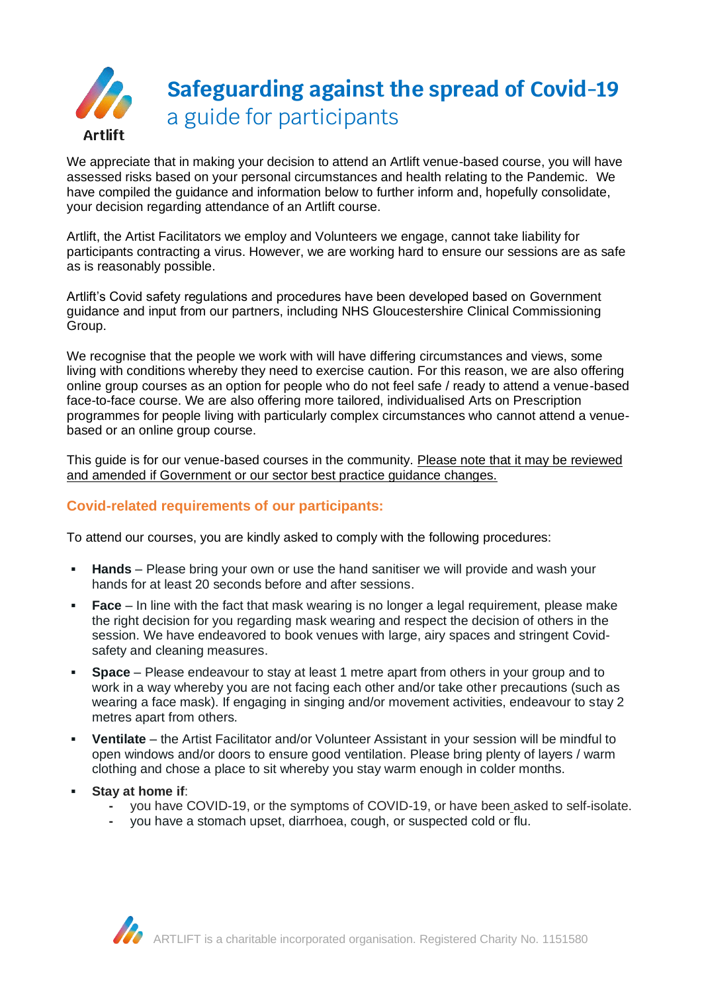

We appreciate that in making your decision to attend an Artlift venue-based course, you will have assessed risks based on your personal circumstances and health relating to the Pandemic. We have compiled the guidance and information below to further inform and, hopefully consolidate, your decision regarding attendance of an Artlift course.

Artlift, the Artist Facilitators we employ and Volunteers we engage, cannot take liability for participants contracting a virus. However, we are working hard to ensure our sessions are as safe as is reasonably possible.

Artlift's Covid safety regulations and procedures have been developed based on Government guidance and input from our partners, including NHS Gloucestershire Clinical Commissioning Group.

We recognise that the people we work with will have differing circumstances and views, some living with conditions whereby they need to exercise caution. For this reason, we are also offering online group courses as an option for people who do not feel safe / ready to attend a venue-based face-to-face course. We are also offering more tailored, individualised Arts on Prescription programmes for people living with particularly complex circumstances who cannot attend a venuebased or an online group course.

This guide is for our venue-based courses in the community. Please note that it may be reviewed and amended if Government or our sector best practice guidance changes.

## **Covid-related requirements of our participants:**

To attend our courses, you are kindly asked to comply with the following procedures:

- **Hands** Please bring your own or use the hand sanitiser we will provide and wash your hands for at least 20 seconds before and after sessions.
- **Face** In line with the fact that mask wearing is no longer a legal requirement, please make the right decision for you regarding mask wearing and respect the decision of others in the session. We have endeavored to book venues with large, airy spaces and stringent Covidsafety and cleaning measures.
- **Space** Please endeavour to stay at least 1 metre apart from others in your group and to work in a way whereby you are not facing each other and/or take other precautions (such as wearing a face mask). If engaging in singing and/or movement activities, endeavour to stay 2 metres apart from others.
- **Ventilate** the Artist Facilitator and/or Volunteer Assistant in your session will be mindful to open windows and/or doors to ensure good ventilation. Please bring plenty of layers / warm clothing and chose a place to sit whereby you stay warm enough in colder months.
- **Stay at home if**:
	- **-** you have COVID-19, or the symptoms of COVID-19, or have been asked to self-isolate.
	- **-** you have a stomach upset, diarrhoea, cough, or suspected cold or flu.